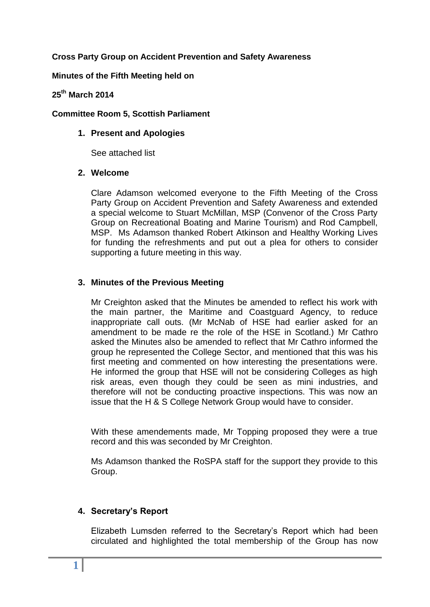# **Cross Party Group on Accident Prevention and Safety Awareness**

#### **Minutes of the Fifth Meeting held on**

# **25 th March 2014**

#### **Committee Room 5, Scottish Parliament**

#### **1. Present and Apologies**

See attached list

#### **2. Welcome**

Clare Adamson welcomed everyone to the Fifth Meeting of the Cross Party Group on Accident Prevention and Safety Awareness and extended a special welcome to Stuart McMillan, MSP (Convenor of the Cross Party Group on Recreational Boating and Marine Tourism) and Rod Campbell, MSP. Ms Adamson thanked Robert Atkinson and Healthy Working Lives for funding the refreshments and put out a plea for others to consider supporting a future meeting in this way.

# **3. Minutes of the Previous Meeting**

Mr Creighton asked that the Minutes be amended to reflect his work with the main partner, the Maritime and Coastguard Agency, to reduce inappropriate call outs. (Mr McNab of HSE had earlier asked for an amendment to be made re the role of the HSE in Scotland.) Mr Cathro asked the Minutes also be amended to reflect that Mr Cathro informed the group he represented the College Sector, and mentioned that this was his first meeting and commented on how interesting the presentations were. He informed the group that HSE will not be considering Colleges as high risk areas, even though they could be seen as mini industries, and therefore will not be conducting proactive inspections. This was now an issue that the H & S College Network Group would have to consider.

With these amendements made, Mr Topping proposed they were a true record and this was seconded by Mr Creighton.

Ms Adamson thanked the RoSPA staff for the support they provide to this Group.

# **4. Secretary's Report**

Elizabeth Lumsden referred to the Secretary's Report which had been circulated and highlighted the total membership of the Group has now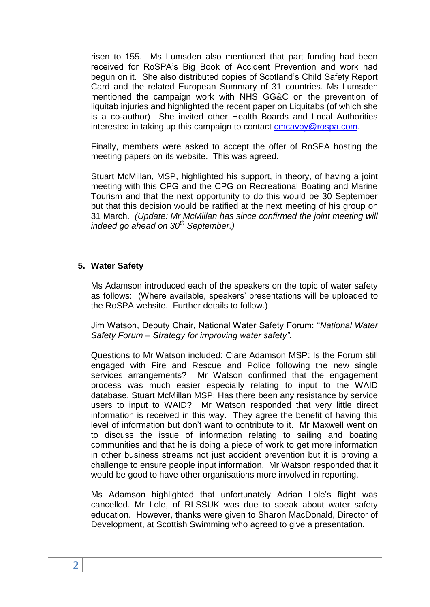risen to 155. Ms Lumsden also mentioned that part funding had been received for RoSPA's Big Book of Accident Prevention and work had begun on it. She also distributed copies of Scotland's Child Safety Report Card and the related European Summary of 31 countries. Ms Lumsden mentioned the campaign work with NHS GG&C on the prevention of liquitab injuries and highlighted the recent paper on Liquitabs (of which she is a co-author) She invited other Health Boards and Local Authorities interested in taking up this campaign to contact [cmcavoy@rospa.com.](mailto:cmcavoy@rospa.com)

Finally, members were asked to accept the offer of RoSPA hosting the meeting papers on its website. This was agreed.

Stuart McMillan, MSP, highlighted his support, in theory, of having a joint meeting with this CPG and the CPG on Recreational Boating and Marine Tourism and that the next opportunity to do this would be 30 September but that this decision would be ratified at the next meeting of his group on 31 March. *(Update: Mr McMillan has since confirmed the joint meeting will indeed go ahead on 30th September.)*

# **5. Water Safety**

Ms Adamson introduced each of the speakers on the topic of water safety as follows: (Where available, speakers' presentations will be uploaded to the RoSPA website. Further details to follow.)

Jim Watson, Deputy Chair, National Water Safety Forum: "*National Water Safety Forum – Strategy for improving water safety".* 

Questions to Mr Watson included: Clare Adamson MSP: Is the Forum still engaged with Fire and Rescue and Police following the new single services arrangements? Mr Watson confirmed that the engagement process was much easier especially relating to input to the WAID database. Stuart McMillan MSP: Has there been any resistance by service users to input to WAID? Mr Watson responded that very little direct information is received in this way. They agree the benefit of having this level of information but don't want to contribute to it. Mr Maxwell went on to discuss the issue of information relating to sailing and boating communities and that he is doing a piece of work to get more information in other business streams not just accident prevention but it is proving a challenge to ensure people input information. Mr Watson responded that it would be good to have other organisations more involved in reporting.

Ms Adamson highlighted that unfortunately Adrian Lole's flight was cancelled. Mr Lole, of RLSSUK was due to speak about water safety education. However, thanks were given to Sharon MacDonald, Director of Development, at Scottish Swimming who agreed to give a presentation.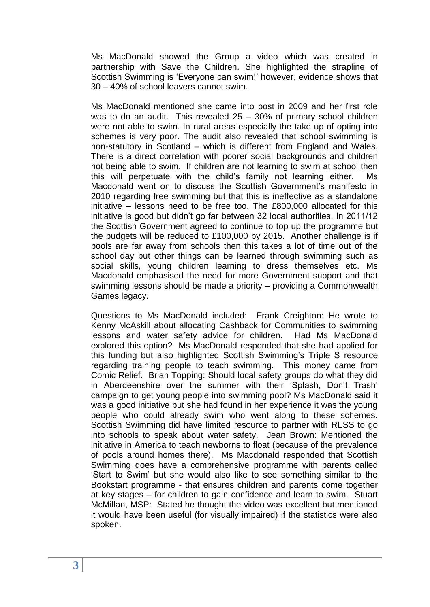Ms MacDonald showed the Group a video which was created in partnership with Save the Children. She highlighted the strapline of Scottish Swimming is 'Everyone can swim!' however, evidence shows that 30 – 40% of school leavers cannot swim.

Ms MacDonald mentioned she came into post in 2009 and her first role was to do an audit. This revealed 25 – 30% of primary school children were not able to swim. In rural areas especially the take up of opting into schemes is very poor. The audit also revealed that school swimming is non-statutory in Scotland – which is different from England and Wales. There is a direct correlation with poorer social backgrounds and children not being able to swim. If children are not learning to swim at school then this will perpetuate with the child's family not learning either. Ms Macdonald went on to discuss the Scottish Government's manifesto in 2010 regarding free swimming but that this is ineffective as a standalone initiative – lessons need to be free too. The £800,000 allocated for this initiative is good but didn't go far between 32 local authorities. In 2011/12 the Scottish Government agreed to continue to top up the programme but the budgets will be reduced to £100,000 by 2015. Another challenge is if pools are far away from schools then this takes a lot of time out of the school day but other things can be learned through swimming such as social skills, young children learning to dress themselves etc. Ms Macdonald emphasised the need for more Government support and that swimming lessons should be made a priority – providing a Commonwealth Games legacy.

Questions to Ms MacDonald included: Frank Creighton: He wrote to Kenny McAskill about allocating Cashback for Communities to swimming lessons and water safety advice for children. Had Ms MacDonald explored this option? Ms MacDonald responded that she had applied for this funding but also highlighted Scottish Swimming's Triple S resource regarding training people to teach swimming. This money came from Comic Relief. Brian Topping: Should local safety groups do what they did in Aberdeenshire over the summer with their 'Splash, Don't Trash' campaign to get young people into swimming pool? Ms MacDonald said it was a good initiative but she had found in her experience it was the young people who could already swim who went along to these schemes. Scottish Swimming did have limited resource to partner with RLSS to go into schools to speak about water safety. Jean Brown: Mentioned the initiative in America to teach newborns to float (because of the prevalence of pools around homes there). Ms Macdonald responded that Scottish Swimming does have a comprehensive programme with parents called 'Start to Swim' but she would also like to see something similar to the Bookstart programme - that ensures children and parents come together at key stages – for children to gain confidence and learn to swim. Stuart McMillan, MSP: Stated he thought the video was excellent but mentioned it would have been useful (for visually impaired) if the statistics were also spoken.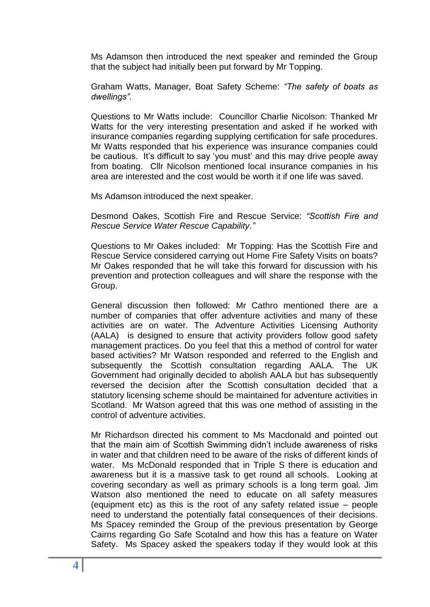Ms Adamson then introduced the next speaker and reminded the Group that the subject had initially been put forward by Mr Topping.

Graham Watts, Manager, Boat Safety Scheme: *"The safety of boats as dwellings".*

Questions to Mr Watts include: Councillor Charlie Nicolson: Thanked Mr Watts for the very interesting presentation and asked if he worked with insurance companies regarding supplying certification for safe procedures. Mr Watts responded that his experience was insurance companies could be cautious. It's difficult to say 'you must' and this may drive people away from boating. Cllr Nicolson mentioned local insurance companies in his area are interested and the cost would be worth it if one life was saved.

Ms Adamson introduced the next speaker.

Desmond Oakes, Scottish Fire and Rescue Service: *"Scottish Fire and Rescue Service Water Rescue Capability."*

Questions to Mr Oakes included: Mr Topping: Has the Scottish Fire and Rescue Service considered carrying out Home Fire Safety Visits on boats? Mr Oakes responded that he will take this forward for discussion with his prevention and protection colleagues and will share the response with the Group.

General discussion then followed: Mr Cathro mentioned there are a number of companies that offer adventure activities and many of these activities are on water. The Adventure Activities Licensing Authority (AALA) is designed to ensure that activity providers follow good safety management practices. Do you feel that this a method of control for water based activities? Mr Watson responded and referred to the English and subsequently the Scottish consultation regarding AALA. The UK Government had originally decided to abolish AALA but has subsequently reversed the decision after the Scottish consultation decided that a statutory licensing scheme should be maintained for adventure activities in Scotland. Mr Watson agreed that this was one method of assisting in the control of adventure activities.

Mr Richardson directed his comment to Ms Macdonald and pointed out that the main aim of Scottish Swimming didn't include awareness of risks in water and that children need to be aware of the risks of different kinds of water. Ms McDonald responded that in Triple S there is education and awareness but it is a massive task to get round all schools. Looking at covering secondary as well as primary schools is a long term goal. Jim Watson also mentioned the need to educate on all safety measures (equipment etc) as this is the root of any safety related issue – people need to understand the potentially fatal consequences of their decisions. Ms Spacey reminded the Group of the previous presentation by George Cairns regarding Go Safe Scotalnd and how this has a feature on Water Safety. Ms Spacey asked the speakers today if they would look at this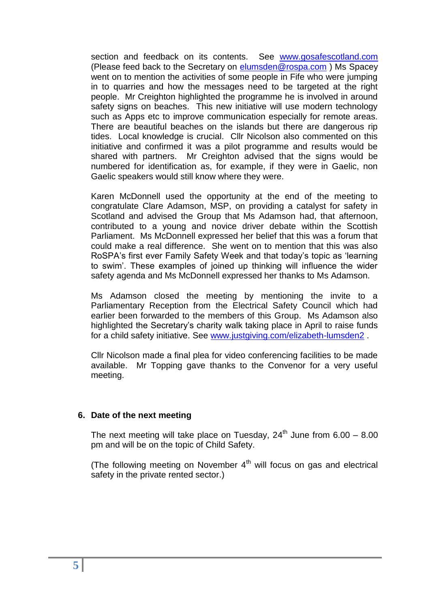section and feedback on its contents. See [www.gosafescotland.com](http://www.gosafescotland.com/) (Please feed back to the Secretary on [elumsden@rospa.com](mailto:elumsden@rospa.com) ) Ms Spacey went on to mention the activities of some people in Fife who were jumping in to quarries and how the messages need to be targeted at the right people. Mr Creighton highlighted the programme he is involved in around safety signs on beaches. This new initiative will use modern technology such as Apps etc to improve communication especially for remote areas. There are beautiful beaches on the islands but there are dangerous rip tides. Local knowledge is crucial. Cllr Nicolson also commented on this initiative and confirmed it was a pilot programme and results would be shared with partners. Mr Creighton advised that the signs would be numbered for identification as, for example, if they were in Gaelic, non Gaelic speakers would still know where they were.

Karen McDonnell used the opportunity at the end of the meeting to congratulate Clare Adamson, MSP, on providing a catalyst for safety in Scotland and advised the Group that Ms Adamson had, that afternoon, contributed to a young and novice driver debate within the Scottish Parliament. Ms McDonnell expressed her belief that this was a forum that could make a real difference. She went on to mention that this was also RoSPA's first ever Family Safety Week and that today's topic as 'learning to swim'. These examples of joined up thinking will influence the wider safety agenda and Ms McDonnell expressed her thanks to Ms Adamson.

Ms Adamson closed the meeting by mentioning the invite to a Parliamentary Reception from the Electrical Safety Council which had earlier been forwarded to the members of this Group. Ms Adamson also highlighted the Secretary's charity walk taking place in April to raise funds for a child safety initiative. See [www.justgiving.com/elizabeth-lumsden2](http://www.justgiving.com/elizabeth-lumsden2) .

Cllr Nicolson made a final plea for video conferencing facilities to be made available. Mr Topping gave thanks to the Convenor for a very useful meeting.

# **6. Date of the next meeting**

The next meeting will take place on Tuesday,  $24<sup>th</sup>$  June from  $6.00 - 8.00$ pm and will be on the topic of Child Safety.

(The following meeting on November  $4<sup>th</sup>$  will focus on gas and electrical safety in the private rented sector.)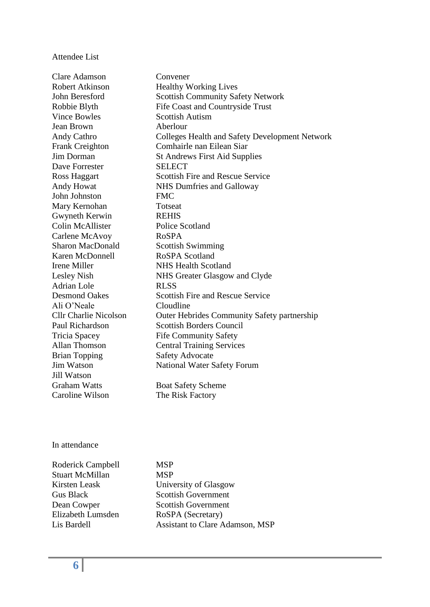#### Attendee List

Clare Adamson Convener Robert Atkinson Healthy Working Lives John Beresford Scottish Community Safety Network Robbie Blyth Fife Coast and Countryside Trust Vince Bowles Scottish Autism Jean Brown Aberlour Andy Cathro Colleges Health and Safety Development Network Frank Creighton Comhairle nan Eilean Siar Jim Dorman St Andrews First Aid Supplies Dave Forrester SELECT Ross Haggart Scottish Fire and Rescue Service Andy Howat NHS Dumfries and Galloway John Johnston FMC Mary Kernohan Totseat Gwyneth Kerwin REHIS Colin McAllister Police Scotland Carlene McAvoy RoSPA Sharon MacDonald Scottish Swimming Karen McDonnell RoSPA Scotland Irene Miller NHS Health Scotland Lesley Nish NHS Greater Glasgow and Clyde Adrian Lole RLSS Desmond Oakes Scottish Fire and Rescue Service Ali O'Neale Cloudline Cllr Charlie Nicolson Outer Hebrides Community Safety partnership Paul Richardson Scottish Borders Council Tricia Spacey Fife Community Safety Allan Thomson Central Training Services Brian Topping Safety Advocate Jim Watson National Water Safety Forum Jill Watson Graham Watts Boat Safety Scheme

Caroline Wilson The Risk Factory

#### In attendance

Roderick Campbell MSP Stuart McMillan MSP Elizabeth Lumsden RoSPA (Secretary)

Kirsten Leask University of Glasgow Gus Black Scottish Government Dean Cowper Scottish Government Lis Bardell Assistant to Clare Adamson, MSP